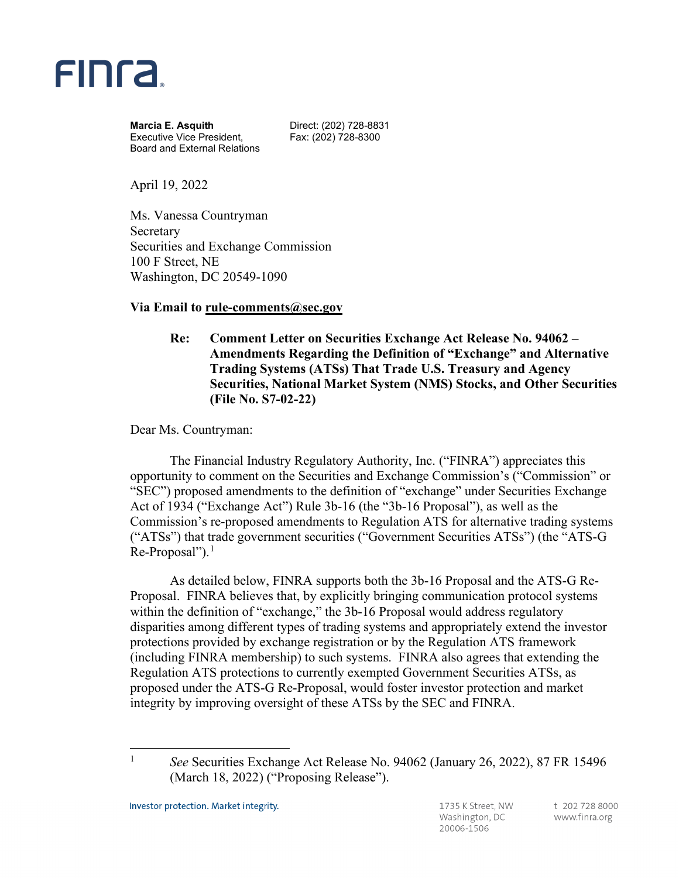

**Marcia E. Asquith Direct: (202) 728-8831** Executive Vice President, Fax: (202) 728-8300 Board and External Relations

April 19, 2022

Ms. Vanessa Countryman Secretary Securities and Exchange Commission 100 F Street, NE Washington, DC 20549-1090

## **Via Email to rule-comments@sec.gov**

**Re: Comment Letter on Securities Exchange Act Release No. 94062 – Amendments Regarding the Definition of "Exchange" and Alternative Trading Systems (ATSs) That Trade U.S. Treasury and Agency Securities, National Market System (NMS) Stocks, and Other Securities (File No. S7-02-22)** 

Dear Ms. Countryman:

The Financial Industry Regulatory Authority, Inc. ("FINRA") appreciates this opportunity to comment on the Securities and Exchange Commission's ("Commission" or "SEC") proposed amendments to the definition of "exchange" under Securities Exchange Act of 1934 ("Exchange Act") Rule 3b-16 (the "3b-16 Proposal"), as well as the Commission's re-proposed amendments to Regulation ATS for alternative trading systems ("ATSs") that trade government securities ("Government Securities ATSs") (the "ATS-G  $Re-Proposal$ ").<sup>[1](#page-0-0)</sup>

<span id="page-0-1"></span>As detailed below, FINRA supports both the 3b-16 Proposal and the ATS-G Re-Proposal. FINRA believes that, by explicitly bringing communication protocol systems within the definition of "exchange," the 3b-16 Proposal would address regulatory disparities among different types of trading systems and appropriately extend the investor protections provided by exchange registration or by the Regulation ATS framework (including FINRA membership) to such systems. FINRA also agrees that extending the Regulation ATS protections to currently exempted Government Securities ATSs, as proposed under the ATS-G Re-Proposal, would foster investor protection and market integrity by improving oversight of these ATSs by the SEC and FINRA.

<span id="page-0-0"></span><sup>&</sup>lt;sup>1</sup> See Securities Exchange Act Release No. 94062 (January 26, 2022), 87 FR 15496 (March 18, 2022) ("Proposing Release").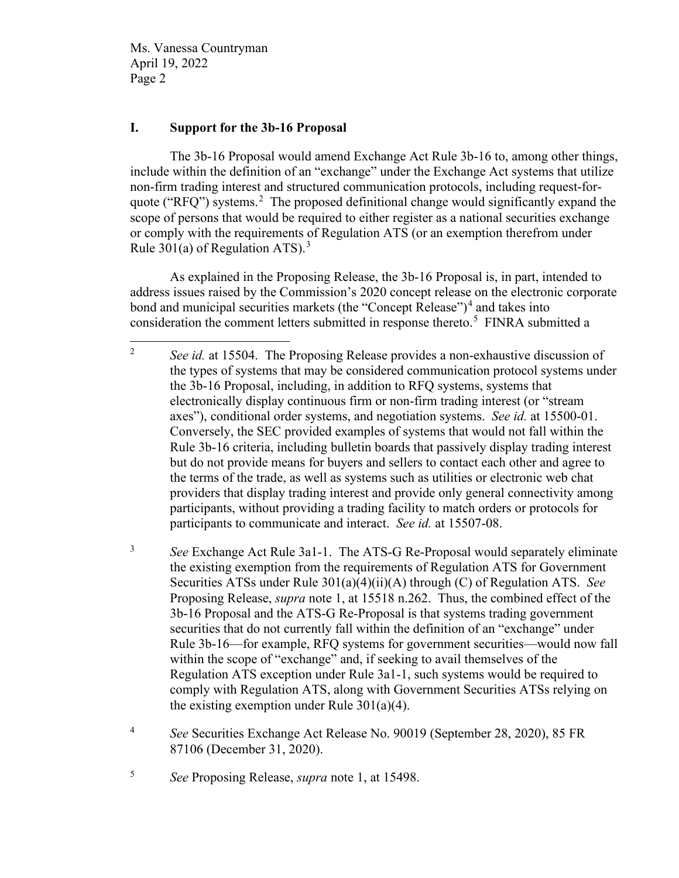## **I. Support for the 3b-16 Proposal**

The 3b-16 Proposal would amend Exchange Act Rule 3b-16 to, among other things, include within the definition of an "exchange" under the Exchange Act systems that utilize non-firm trading interest and structured communication protocols, including request-for-quote ("RFQ") systems.<sup>[2](#page-1-0)</sup> The proposed definitional change would significantly expand the scope of persons that would be required to either register as a national securities exchange or comply with the requirements of Regulation ATS (or an exemption therefrom under Rule [3](#page-1-1)01(a) of Regulation ATS<sup>3</sup>

As explained in the Proposing Release, the 3b-16 Proposal is, in part, intended to address issues raised by the Commission's 2020 concept release on the electronic corporate bond and municipal securities markets (the "Concept Release")<sup>[4](#page-1-2)</sup> and takes into consideration the comment letters submitted in response thereto.<sup>[5](#page-1-3)</sup> FINRA submitted a

<span id="page-1-1"></span><sup>3</sup> *See* Exchange Act Rule 3a1-1. The ATS-G Re-Proposal would separately eliminate the existing exemption from the requirements of Regulation ATS for Government Securities ATSs under Rule 301(a)(4)(ii)(A) through (C) of Regulation ATS. *See* Proposing Release, *supra* note [1,](#page-0-1) at 15518 n.262. Thus, the combined effect of the 3b-16 Proposal and the ATS-G Re-Proposal is that systems trading government securities that do not currently fall within the definition of an "exchange" under Rule 3b-16—for example, RFQ systems for government securities—would now fall within the scope of "exchange" and, if seeking to avail themselves of the Regulation ATS exception under Rule 3a1-1, such systems would be required to comply with Regulation ATS, along with Government Securities ATSs relying on the existing exemption under Rule  $301(a)(4)$ .

<span id="page-1-0"></span><sup>2</sup> *See id.* at 15504. The Proposing Release provides a non-exhaustive discussion of the types of systems that may be considered communication protocol systems under the 3b-16 Proposal, including, in addition to RFQ systems, systems that electronically display continuous firm or non-firm trading interest (or "stream axes"), conditional order systems, and negotiation systems. *See id.* at 15500-01. Conversely, the SEC provided examples of systems that would not fall within the Rule 3b-16 criteria, including bulletin boards that passively display trading interest but do not provide means for buyers and sellers to contact each other and agree to the terms of the trade, as well as systems such as utilities or electronic web chat providers that display trading interest and provide only general connectivity among participants, without providing a trading facility to match orders or protocols for participants to communicate and interact. *See id.* at 15507-08.

<span id="page-1-2"></span><sup>4</sup> *See* Securities Exchange Act Release No. 90019 (September 28, 2020), 85 FR 87106 (December 31, 2020).

<span id="page-1-3"></span><sup>5</sup> *See* Proposing Release, *supra* note [1,](#page-0-1) at 15498.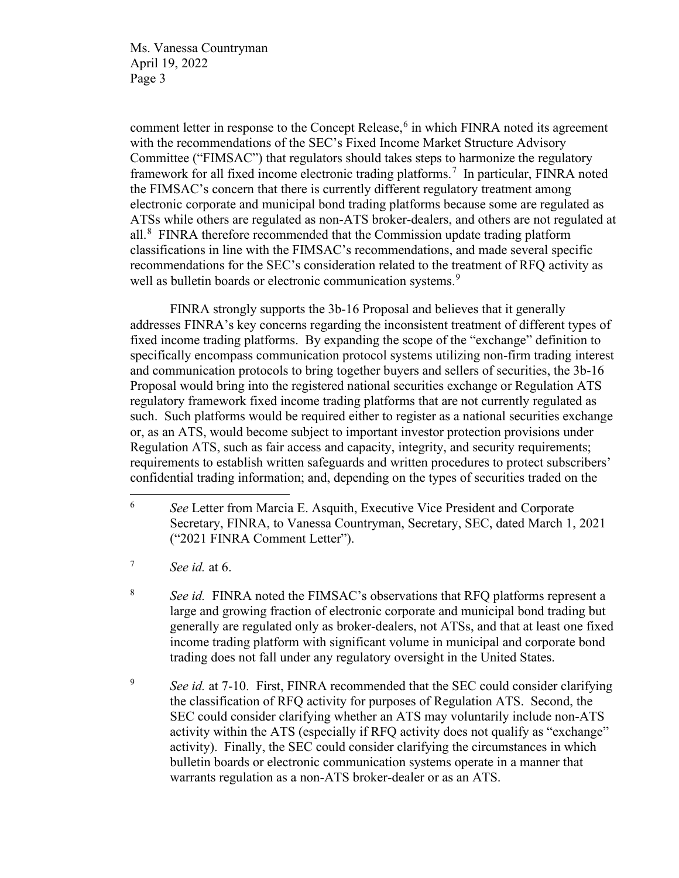<span id="page-2-4"></span>comment letter in response to the Concept Release,<sup>[6](#page-2-0)</sup> in which FINRA noted its agreement with the recommendations of the SEC's Fixed Income Market Structure Advisory Committee ("FIMSAC") that regulators should takes steps to harmonize the regulatory framework for all fixed income electronic trading platforms.<sup>[7](#page-2-1)</sup> In particular, FINRA noted the FIMSAC's concern that there is currently different regulatory treatment among electronic corporate and municipal bond trading platforms because some are regulated as ATSs while others are regulated as non-ATS broker-dealers, and others are not regulated at all. $8$  FINRA therefore recommended that the Commission update trading platform classifications in line with the FIMSAC's recommendations, and made several specific recommendations for the SEC's consideration related to the treatment of RFQ activity as well as bulletin boards or electronic communication systems.<sup>[9](#page-2-3)</sup>

FINRA strongly supports the 3b-16 Proposal and believes that it generally addresses FINRA's key concerns regarding the inconsistent treatment of different types of fixed income trading platforms. By expanding the scope of the "exchange" definition to specifically encompass communication protocol systems utilizing non-firm trading interest and communication protocols to bring together buyers and sellers of securities, the 3b-16 Proposal would bring into the registered national securities exchange or Regulation ATS regulatory framework fixed income trading platforms that are not currently regulated as such. Such platforms would be required either to register as a national securities exchange or, as an ATS, would become subject to important investor protection provisions under Regulation ATS, such as fair access and capacity, integrity, and security requirements; requirements to establish written safeguards and written procedures to protect subscribers' confidential trading information; and, depending on the types of securities traded on the

<span id="page-2-1"></span><sup>7</sup> *See id.* at 6.

<span id="page-2-2"></span><sup>8</sup> *See id.* FINRA noted the FIMSAC's observations that RFQ platforms represent a large and growing fraction of electronic corporate and municipal bond trading but generally are regulated only as broker-dealers, not ATSs, and that at least one fixed income trading platform with significant volume in municipal and corporate bond trading does not fall under any regulatory oversight in the United States.

<span id="page-2-3"></span><sup>9</sup> *See id.* at 7-10. First, FINRA recommended that the SEC could consider clarifying the classification of RFQ activity for purposes of Regulation ATS. Second, the SEC could consider clarifying whether an ATS may voluntarily include non-ATS activity within the ATS (especially if RFQ activity does not qualify as "exchange" activity). Finally, the SEC could consider clarifying the circumstances in which bulletin boards or electronic communication systems operate in a manner that warrants regulation as a non-ATS broker-dealer or as an ATS.

<span id="page-2-0"></span><sup>6</sup> *See* Letter from Marcia E. Asquith, Executive Vice President and Corporate Secretary, FINRA, to Vanessa Countryman, Secretary, SEC, dated March 1, 2021 ("2021 FINRA Comment Letter").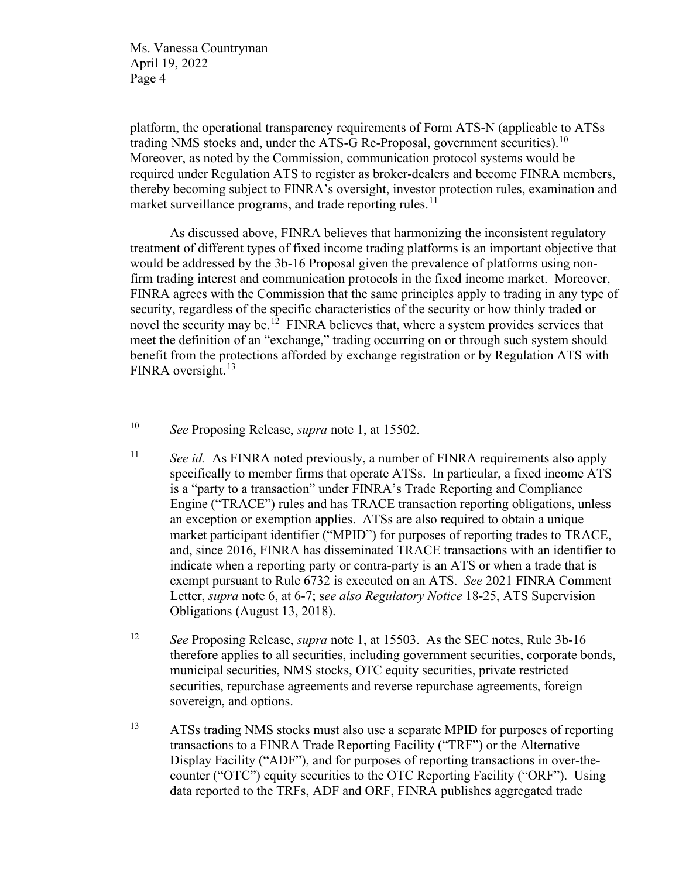platform, the operational transparency requirements of Form ATS-N (applicable to ATSs trading NMS stocks and, under the ATS-G Re-Proposal, government securities).<sup>10</sup> Moreover, as noted by the Commission, communication protocol systems would be required under Regulation ATS to register as broker-dealers and become FINRA members, thereby becoming subject to FINRA's oversight, investor protection rules, examination and market surveillance programs, and trade reporting rules.<sup>[11](#page-3-1)</sup>

As discussed above, FINRA believes that harmonizing the inconsistent regulatory treatment of different types of fixed income trading platforms is an important objective that would be addressed by the 3b-16 Proposal given the prevalence of platforms using nonfirm trading interest and communication protocols in the fixed income market. Moreover, FINRA agrees with the Commission that the same principles apply to trading in any type of security, regardless of the specific characteristics of the security or how thinly traded or novel the security may be.<sup>[12](#page-3-2)</sup> FINRA believes that, where a system provides services that meet the definition of an "exchange," trading occurring on or through such system should benefit from the protections afforded by exchange registration or by Regulation ATS with FINRA oversight. $13$ 

<span id="page-3-0"></span><sup>10</sup> *See* Proposing Release, *supra* note [1,](#page-0-1) at 15502.

<span id="page-3-1"></span><sup>11</sup> *See id.* As FINRA noted previously, a number of FINRA requirements also apply specifically to member firms that operate ATSs. In particular, a fixed income ATS is a "party to a transaction" under FINRA's Trade Reporting and Compliance Engine ("TRACE") rules and has TRACE transaction reporting obligations, unless an exception or exemption applies. ATSs are also required to obtain a unique market participant identifier ("MPID") for purposes of reporting trades to TRACE, and, since 2016, FINRA has disseminated TRACE transactions with an identifier to indicate when a reporting party or contra-party is an ATS or when a trade that is exempt pursuant to Rule 6732 is executed on an ATS. *See* 2021 FINRA Comment Letter, *supra* note [6,](#page-2-4) at 6-7; s*ee also Regulatory Notice* 18-25, ATS Supervision Obligations (August 13, 2018).

<span id="page-3-2"></span><sup>12</sup> *See* Proposing Release, *supra* note [1,](#page-0-1) at 15503. As the SEC notes, Rule 3b-16 therefore applies to all securities, including government securities, corporate bonds, municipal securities, NMS stocks, OTC equity securities, private restricted securities, repurchase agreements and reverse repurchase agreements, foreign sovereign, and options.

<span id="page-3-3"></span><sup>&</sup>lt;sup>13</sup> ATSs trading NMS stocks must also use a separate MPID for purposes of reporting transactions to a FINRA Trade Reporting Facility ("TRF") or the Alternative Display Facility ("ADF"), and for purposes of reporting transactions in over-thecounter ("OTC") equity securities to the OTC Reporting Facility ("ORF"). Using data reported to the TRFs, ADF and ORF, FINRA publishes aggregated trade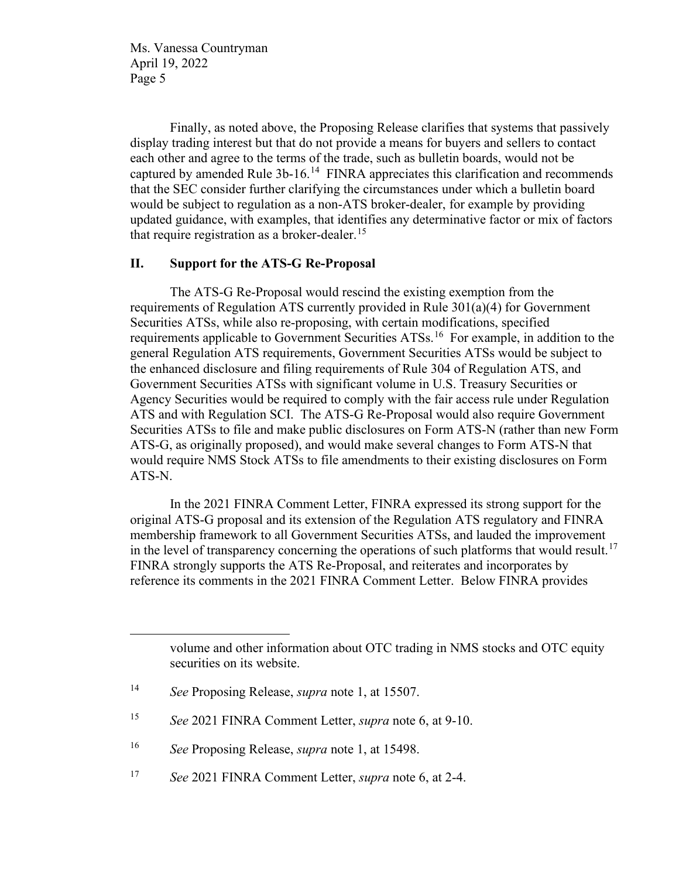Finally, as noted above, the Proposing Release clarifies that systems that passively display trading interest but that do not provide a means for buyers and sellers to contact each other and agree to the terms of the trade, such as bulletin boards, would not be captured by amended Rule 3b-16.[14](#page-4-0) FINRA appreciates this clarification and recommends that the SEC consider further clarifying the circumstances under which a bulletin board would be subject to regulation as a non-ATS broker-dealer, for example by providing updated guidance, with examples, that identifies any determinative factor or mix of factors that require registration as a broker-dealer.<sup>[15](#page-4-1)</sup>

## **II. Support for the ATS-G Re-Proposal**

The ATS-G Re-Proposal would rescind the existing exemption from the requirements of Regulation ATS currently provided in Rule 301(a)(4) for Government Securities ATSs, while also re-proposing, with certain modifications, specified requirements applicable to Government Securities ATSs.<sup>16</sup> For example, in addition to the general Regulation ATS requirements, Government Securities ATSs would be subject to the enhanced disclosure and filing requirements of Rule 304 of Regulation ATS, and Government Securities ATSs with significant volume in U.S. Treasury Securities or Agency Securities would be required to comply with the fair access rule under Regulation ATS and with Regulation SCI. The ATS-G Re-Proposal would also require Government Securities ATSs to file and make public disclosures on Form ATS-N (rather than new Form ATS-G, as originally proposed), and would make several changes to Form ATS-N that would require NMS Stock ATSs to file amendments to their existing disclosures on Form ATS-N.

In the 2021 FINRA Comment Letter, FINRA expressed its strong support for the original ATS-G proposal and its extension of the Regulation ATS regulatory and FINRA membership framework to all Government Securities ATSs, and lauded the improvement in the level of transparency concerning the operations of such platforms that would result.<sup>[17](#page-4-3)</sup> FINRA strongly supports the ATS Re-Proposal, and reiterates and incorporates by reference its comments in the 2021 FINRA Comment Letter. Below FINRA provides

volume and other information about OTC trading in NMS stocks and OTC equity securities on its website.

<span id="page-4-0"></span><sup>14</sup> *See* Proposing Release, *supra* note [1,](#page-0-1) at 15507.

<span id="page-4-1"></span><sup>15</sup> *See* 2021 FINRA Comment Letter, *supra* note [6,](#page-2-4) at 9-10.

<span id="page-4-2"></span><sup>16</sup> *See* Proposing Release, *supra* note [1,](#page-0-1) at 15498.

<span id="page-4-3"></span><sup>17</sup> *See* 2021 FINRA Comment Letter, *supra* note [6,](#page-2-4) at 2-4.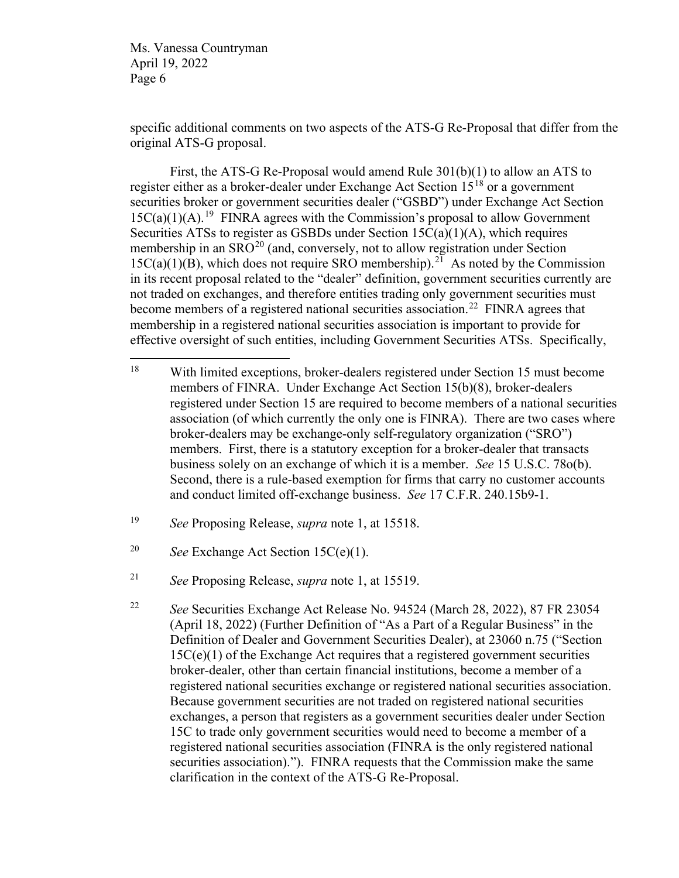specific additional comments on two aspects of the ATS-G Re-Proposal that differ from the original ATS-G proposal.

First, the ATS-G Re-Proposal would amend Rule 301(b)(1) to allow an ATS to register either as a broker-dealer under Exchange Act Section  $15^{18}$  $15^{18}$  $15^{18}$  or a government securities broker or government securities dealer ("GSBD") under Exchange Act Section  $15C(a)(1)(A).$ <sup>19</sup> FINRA agrees with the Commission's proposal to allow Government Securities ATSs to register as GSBDs under Section 15C(a)(1)(A), which requires membership in an  $SRO^{20}$  $SRO^{20}$  $SRO^{20}$  (and, conversely, not to allow registration under Section  $15C(a)(1)(B)$ , which does not require SRO membership).<sup>21</sup> As noted by the Commission in its recent proposal related to the "dealer" definition, government securities currently are not traded on exchanges, and therefore entities trading only government securities must become members of a registered national securities association.<sup>[22](#page-5-4)</sup> FINRA agrees that membership in a registered national securities association is important to provide for effective oversight of such entities, including Government Securities ATSs. Specifically,

<span id="page-5-0"></span><sup>18</sup> With limited exceptions, broker-dealers registered under Section 15 must become members of FINRA. Under Exchange Act Section 15(b)(8), broker-dealers registered under Section 15 are required to become members of a national securities association (of which currently the only one is FINRA). There are two cases where broker-dealers may be exchange-only self-regulatory organization ("SRO") members. First, there is a statutory exception for a broker-dealer that transacts business solely on an exchange of which it is a member. *See* 15 U.S.C. 78o(b). Second, there is a rule-based exemption for firms that carry no customer accounts and conduct limited off-exchange business. *See* 17 C.F.R. 240.15b9-1.

<span id="page-5-1"></span><sup>19</sup> *See* Proposing Release, *supra* note [1,](#page-0-1) at 15518.

<span id="page-5-2"></span><sup>20</sup> *See* Exchange Act Section 15C(e)(1).

<span id="page-5-3"></span><sup>21</sup> *See* Proposing Release, *supra* note [1,](#page-0-1) at 15519.

<span id="page-5-4"></span><sup>22</sup> *See* Securities Exchange Act Release No. 94524 (March 28, 2022), 87 FR 23054 (April 18, 2022) (Further Definition of "As a Part of a Regular Business" in the Definition of Dealer and Government Securities Dealer), at 23060 n.75 ("Section 15C(e)(1) of the Exchange Act requires that a registered government securities broker-dealer, other than certain financial institutions, become a member of a registered national securities exchange or registered national securities association. Because government securities are not traded on registered national securities exchanges, a person that registers as a government securities dealer under Section 15C to trade only government securities would need to become a member of a registered national securities association (FINRA is the only registered national securities association)."). FINRA requests that the Commission make the same clarification in the context of the ATS-G Re-Proposal.